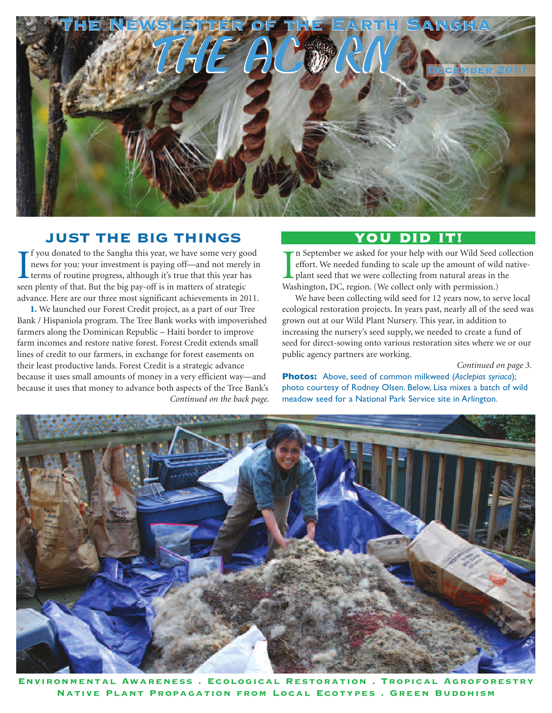

### **JUST THE BIG THINGS**

If you donated to the Sangha this year, we have some very go news for you: your investment is paying off—and not merel terms of routine progress, although it's true that this year have a plenty of that. But the big pay-off f you donated to the Sangha this year, we have some very good news for you: your investment is paying off—and not merely in terms of routine progress, although it's true that this year has advance. Here are our three most significant achievements in 2011.

**1.** We launched our Forest Credit project, as a part of our Tree Bank / Hispaniola program. The Tree Bank works with impoverished farmers along the Dominican Republic – Haiti border to improve farm incomes and restore native forest. Forest Credit extends small lines of credit to our farmers, in exchange for forest easements on their least productive lands. Forest Credit is a strategic advance because it uses small amounts of money in a very efficient way—and because it uses that money to advance both aspects of the Tree Bank's *Continued on the back page.*

# **YOU DID IT!**

In September we asked for your help with our Wild Seed effort. We needed funding to scale up the amount of will plant seed that we were collecting from natural areas in Washington, DC, region. (We collect only with permiss n September we asked for your help with our Wild Seed collection effort. We needed funding to scale up the amount of wild nativeplant seed that we were collecting from natural areas in the

We have been collecting wild seed for 12 years now, to serve local ecological restoration projects. In years past, nearly all of the seed was grown out at our Wild Plant Nursery. This year, in addition to increasing the nursery's seed supply, we needed to create a fund of seed for direct-sowing onto various restoration sites where we or our public agency partners are working.

*Continued on page 3.*

**Photos:** Above, seed of common milkweed (*Asclepias syriaca*); photo courtesy of Rodney Olsen. Below, Lisa mixes a batch of wild meadow seed for a National Park Service site in Arlington.



**Environmental Awareness . Ecological Restoration . Tropical Agroforestry Native Plant Propagation from Local Ecotypes . Green Buddhism**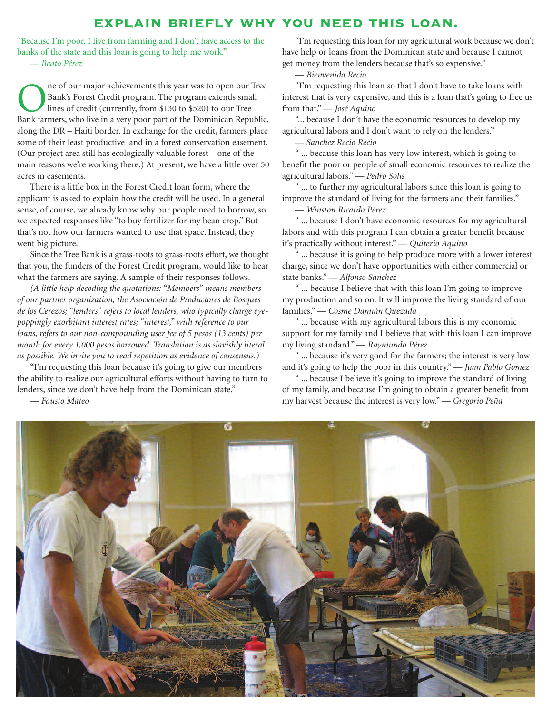#### **explain briefly why you need this loan.**

"Because I'm poor. I live from farming and I don't have access to the banks of the state and this loan is going to help me work." — *Beato Pérez*

**ORES AND THE SERVIER SHOWST THE SERVIER SHOWST SHOWST SHOWST SHOWST SHOWST SHOWST SHOWST SHOWST SHOWST SHOWST SHOWST SHOWST SHOWST SHOWST SHOWST SHOWST SHOWST SHOWST SHOWST SHOWST SHOWST SHOWST SHOWST SHOWST SHOWST SHOWST** Bank's Forest Credit program. The program extends small lines of credit (currently, from \$130 to \$520) to our Tree Bank farmers, who live in a very poor part of the Dominican Republic, along the DR – Haiti border. In exchange for the credit, farmers place some of their least productive land in a forest conservation easement. (Our project area still has ecologically valuable forest—one of the main reasons we're working there.) At present, we have a little over 50 acres in easements.

There is a little box in the Forest Credit loan form, where the applicant is asked to explain how the credit will be used. In a general sense, of course, we already know why our people need to borrow, so we expected responses like "to buy fertilizer for my bean crop." But that's not how our farmers wanted to use that space. Instead, they went big picture.

Since the Tree Bank is a grass-roots to grass-roots effort, we thought that you, the funders of the Forest Credit program, would like to hear what the farmers are saying. A sample of their responses follows.

*(A little help decoding the quotations: "Members" means members of our partner organization, the Asociación de Productores de Bosques de los Cerezos; "lenders" refers to local lenders, who typically charge eyepoppingly exorbitant interest rates; "interest," with reference to our loans, refers to our non-compounding user fee of 5 pesos (13 cents) per month for every 1,000 pesos borrowed. Translation is as slavishly literal as possible. We invite you to read repetition as evidence of consensus.)*

"I'm requesting this loan because it's going to give our members the ability to realize our agricultural efforts without having to turn to lenders, since we don't have help from the Dominican state."

— *Fausto Mateo*

"I'm requesting this loan for my agricultural work because we don't have help or loans from the Dominican state and because I cannot get money from the lenders because that's so expensive."

— *Bienvenido Recio*

"I'm requesting this loan so that I don't have to take loans with interest that is very expensive, and this is a loan that's going to free us from that." — *José Aquino*

"... because I don't have the economic resources to develop my agricultural labors and I don't want to rely on the lenders."

— *Sanchez Recio Recio*

" ... because this loan has very low interest, which is going to benefit the poor or people of small economic resources to realize the agricultural labors." — *Pedro Solis*

" ... to further my agricultural labors since this loan is going to improve the standard of living for the farmers and their families."

— *Winston Ricardo Pérez*

" ... because I don't have economic resources for my agricultural labors and with this program I can obtain a greater benefit because it's practically without interest." — *Quiterio Aquino*

... because it is going to help produce more with a lower interest charge, since we don't have opportunities with either commercial or state banks." — *Alfonso Sanchez*

" ... because I believe that with this loan I'm going to improve my production and so on. It will improve the living standard of our families." — *Cosme Damián Quezada*

" ... because with my agricultural labors this is my economic support for my family and I believe that with this loan I can improve my living standard." — *Raymundo Pérez*

" ... because it's very good for the farmers; the interest is very low and it's going to help the poor in this country." — *Juan Pablo Gomez*

" ... because I believe it's going to improve the standard of living of my family, and because I'm going to obtain a greater benefit from my harvest because the interest is very low." — *Gregorio Peña*

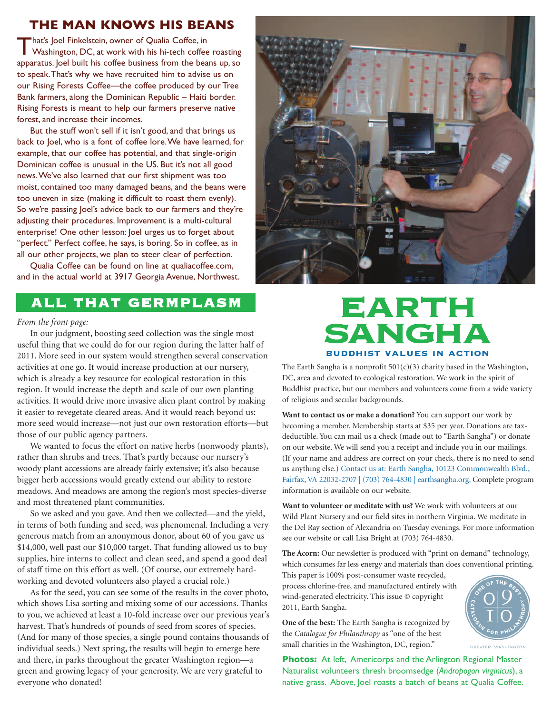### **THE MAN KNOWS HIS BEANS**

That's Joel Finkelstein, owner of Qualia Coffee, in<br>Washington, DC, at work with his hi-tech coffee roasting apparatus. Joel built his coffee business from the beans up, so to speak.That's why we have recruited him to advise us on our Rising Forests Coffee—the coffee produced by our Tree Bank farmers, along the Dominican Republic – Haiti border. Rising Forests is meant to help our farmers preserve native forest, and increase their incomes.

But the stuff won't sell if it isn't good, and that brings us back to Joel, who is a font of coffee lore.We have learned, for example, that our coffee has potential, and that single-origin Dominican coffee is unusual in the US. But it's not all good news.We've also learned that our first shipment was too moist, contained too many damaged beans, and the beans were too uneven in size (making it difficult to roast them evenly). So we're passing Joel's advice back to our farmers and they're adjusting their procedures. Improvement is a multi-cultural enterprise! One other lesson: Joel urges us to forget about "perfect." Perfect coffee, he says, is boring. So in coffee, as in all our other projects, we plan to steer clear of perfection.

Qualia Coffee can be found on line at qualiacoffee.com, and in the actual world at 3917 Georgia Avenue, Northwest.

# **ALL THAT GERMPLASM**

#### *From the front page:*

In our judgment, boosting seed collection was the single most useful thing that we could do for our region during the latter half of 2011. More seed in our system would strengthen several conservation activities at one go. It would increase production at our nursery, which is already a key resource for ecological restoration in this region. It would increase the depth and scale of our own planting activities. It would drive more invasive alien plant control by making it easier to revegetate cleared areas. And it would reach beyond us: more seed would increase—not just our own restoration efforts—but those of our public agency partners.

We wanted to focus the effort on native herbs (nonwoody plants), rather than shrubs and trees. That's partly because our nursery's woody plant accessions are already fairly extensive; it's also because bigger herb accessions would greatly extend our ability to restore meadows. And meadows are among the region's most species-diverse and most threatened plant communities.

So we asked and you gave. And then we collected—and the yield, in terms of both funding and seed, was phenomenal. Including a very generous match from an anonymous donor, about 60 of you gave us \$14,000, well past our \$10,000 target. That funding allowed us to buy supplies, hire interns to collect and clean seed, and spend a good deal of staff time on this effort as well. (Of course, our extremely hardworking and devoted volunteers also played a crucial role.)

As for the seed, you can see some of the results in the cover photo, which shows Lisa sorting and mixing some of our accessions. Thanks to you, we achieved at least a 10-fold increase over our previous year's harvest. That's hundreds of pounds of seed from scores of species. (And for many of those species, a single pound contains thousands of individual seeds.) Next spring, the results will begin to emerge here and there, in parks throughout the greater Washington region—a green and growing legacy of your generosity. We are very grateful to everyone who donated!



# **EARTH SANGHA buddhist values in action**

The Earth Sangha is a nonprofit  $501(c)(3)$  charity based in the Washington, DC, area and devoted to ecological restoration. We work in the spirit of Buddhist practice, but our members and volunteers come from a wide variety of religious and secular backgrounds.

**Want to contact us or make a donation?** You can support our work by becoming a member. Membership starts at \$35 per year. Donations are taxdeductible. You can mail us a check (made out to "Earth Sangha") or donate on our website. We will send you a receipt and include you in our mailings. (If your name and address are correct on your check, there is no need to send us anything else.) Contact us at: Earth Sangha, 10123 Commonwealth Blvd., Fairfax, VA 22032-2707 | (703) 764-4830 | earthsangha.org. Complete program information is available on our website.

**Want to volunteer or meditate with us?** We work with volunteers at our Wild Plant Nursery and our field sites in northern Virginia. We meditate in the Del Ray section of Alexandria on Tuesday evenings. For more information see our website or call Lisa Bright at (703) 764-4830.

**The Acorn:** Our newsletter is produced with "print on demand" technology, which consumes far less energy and materials than does conventional printing.

This paper is 100% post-consumer waste recycled, process chlorine-free, and manufactured entirely with wind-generated electricity. This issue © copyright 2011, Earth Sangha.

**One of the best:** The Earth Sangha is recognized by the *Catalogue for Philanthropy* as "one of the best small charities in the Washington, DC, region."

**Photos:** At left, Americorps and the Arlington Regional Master Naturalist volunteers thresh broomsedge (*Andropogon virginicus*), a native grass. Above, Joel roasts a batch of beans at Qualia Coffee.



GREATER WASHINGTON